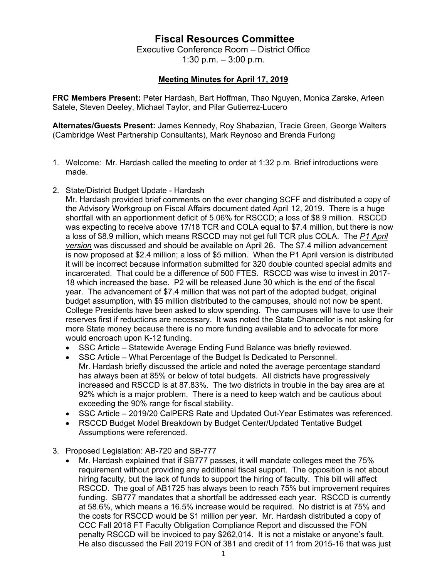## **Fiscal Resources Committee**

Executive Conference Room – District Office 1:30 p.m. – 3:00 p.m.

## **Meeting Minutes for April 17, 2019**

**FRC Members Present:** Peter Hardash, Bart Hoffman, Thao Nguyen, Monica Zarske, Arleen Satele, Steven Deeley, Michael Taylor, and Pilar Gutierrez-Lucero

**Alternates/Guests Present:** James Kennedy, Roy Shabazian, Tracie Green, George Walters (Cambridge West Partnership Consultants), Mark Reynoso and Brenda Furlong

- 1. Welcome: Mr. Hardash called the meeting to order at 1:32 p.m. Brief introductions were made.
- 2. State/District Budget Update Hardash

Mr. Hardash provided brief comments on the ever changing SCFF and distributed a copy of the Advisory Workgroup on Fiscal Affairs document dated April 12, 2019. There is a huge shortfall with an apportionment deficit of 5.06% for RSCCD; a loss of \$8.9 million. RSCCD was expecting to receive above 17/18 TCR and COLA equal to \$7.4 million, but there is now a loss of \$8.9 million, which means RSCCD may not get full TCR plus COLA. The *P1 April version* was discussed and should be available on April 26. The \$7.4 million advancement is now proposed at \$2.4 million; a loss of \$5 million. When the P1 April version is distributed it will be incorrect because information submitted for 320 double counted special admits and incarcerated. That could be a difference of 500 FTES. RSCCD was wise to invest in 2017- 18 which increased the base. P2 will be released June 30 which is the end of the fiscal year. The advancement of \$7.4 million that was not part of the adopted budget, original budget assumption, with \$5 million distributed to the campuses, should not now be spent. College Presidents have been asked to slow spending. The campuses will have to use their reserves first if reductions are necessary. It was noted the State Chancellor is not asking for more State money because there is no more funding available and to advocate for more would encroach upon K-12 funding.

- SSC Article Statewide Average Ending Fund Balance was briefly reviewed.
- SSC Article What Percentage of the Budget Is Dedicated to Personnel. Mr. Hardash briefly discussed the article and noted the average percentage standard has always been at 85% or below of total budgets. All districts have progressively increased and RSCCD is at 87.83%. The two districts in trouble in the bay area are at 92% which is a major problem. There is a need to keep watch and be cautious about exceeding the 90% range for fiscal stability.
- SSC Article 2019/20 CalPERS Rate and Updated Out-Year Estimates was referenced.
- RSCCD Budget Model Breakdown by Budget Center/Updated Tentative Budget Assumptions were referenced.
- 3. Proposed Legislation: AB-720 and SB-777
	- Mr. Hardash explained that if SB777 passes, it will mandate colleges meet the 75% requirement without providing any additional fiscal support. The opposition is not about hiring faculty, but the lack of funds to support the hiring of faculty. This bill will affect RSCCD. The goal of AB1725 has always been to reach 75% but improvement requires funding. SB777 mandates that a shortfall be addressed each year. RSCCD is currently at 58.6%, which means a 16.5% increase would be required. No district is at 75% and the costs for RSCCD would be \$1 million per year. Mr. Hardash distributed a copy of CCC Fall 2018 FT Faculty Obligation Compliance Report and discussed the FON penalty RSCCD will be invoiced to pay \$262,014. It is not a mistake or anyone's fault. He also discussed the Fall 2019 FON of 381 and credit of 11 from 2015-16 that was just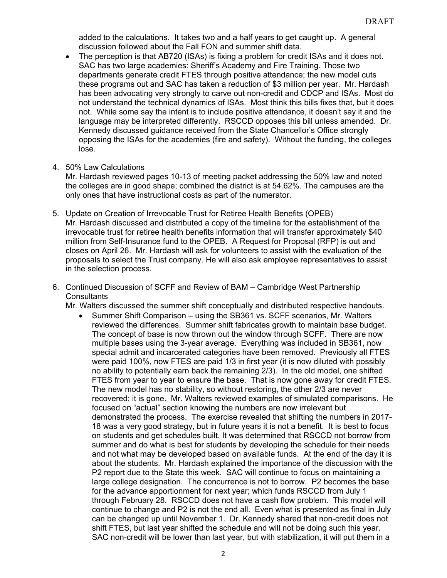added to the calculations. It takes two and a half years to get caught up. A general discussion followed about the Fall FON and summer shift data.

- The perception is that AB720 (ISAs) is fixing a problem for credit ISAs and it does not. SAC has two large academies: Sheriff's Academy and Fire Training. Those two departments generate credit FTES through positive attendance; the new model cuts these programs out and SAC has taken a reduction of \$3 million per year. Mr. Hardash has been advocating very strongly to carve out non-credit and CDCP and ISAs. Most do not understand the technical dynamics of ISAs. Most think this bills fixes that, but it does not. While some say the intent is to include positive attendance, it doesn't say it and the language may be interpreted differently. RSCCD opposes this bill unless amended. Dr. Kennedy discussed guidance received from the State Chancellor's Office strongly opposing the ISAs for the academies (fire and safety). Without the funding, the colleges lose.
- 4. 50% Law Calculations

Mr. Hardash reviewed pages 10-13 of meeting packet addressing the 50% law and noted the colleges are in good shape; combined the district is at 54.62%. The campuses are the only ones that have instructional costs as part of the numerator.

- 5. Update on Creation of Irrevocable Trust for Retiree Health Benefits (OPEB) Mr. Hardash discussed and distributed a copy of the timeline for the establishment of the irrevocable trust for retiree health benefits information that will transfer approximately \$40 million from Self-Insurance fund to the OPEB. A Request for Proposal (RFP) is out and closes on April 26. Mr. Hardash will ask for volunteers to assist with the evaluation of the proposals to select the Trust company. He will also ask employee representatives to assist in the selection process.
- 6. Continued Discussion of SCFF and Review of BAM Cambridge West Partnership **Consultants**

Mr. Walters discussed the summer shift conceptually and distributed respective handouts.

 Summer Shift Comparison – using the SB361 vs. SCFF scenarios, Mr. Walters reviewed the differences. Summer shift fabricates growth to maintain base budget. The concept of base is now thrown out the window through SCFF. There are now multiple bases using the 3-year average. Everything was included in SB361, now special admit and incarcerated categories have been removed. Previously all FTES were paid 100%, now FTES are paid 1/3 in first year (it is now diluted with possibly no ability to potentially earn back the remaining 2/3). In the old model, one shifted FTES from year to year to ensure the base. That is now gone away for credit FTES. The new model has no stability, so without restoring, the other 2/3 are never recovered; it is gone. Mr. Walters reviewed examples of simulated comparisons. He focused on "actual" section knowing the numbers are now irrelevant but demonstrated the process. The exercise revealed that shifting the numbers in 2017- 18 was a very good strategy, but in future years it is not a benefit. It is best to focus on students and get schedules built. It was determined that RSCCD not borrow from summer and do what is best for students by developing the schedule for their needs and not what may be developed based on available funds. At the end of the day it is about the students. Mr. Hardash explained the importance of the discussion with the P2 report due to the State this week. SAC will continue to focus on maintaining a large college designation. The concurrence is not to borrow. P2 becomes the base for the advance apportionment for next year; which funds RSCCD from July 1 through February 28. RSCCD does not have a cash flow problem. This model will continue to change and P2 is not the end all. Even what is presented as final in July can be changed up until November 1. Dr. Kennedy shared that non-credit does not shift FTES, but last year shifted the schedule and will not be doing such this year. SAC non-credit will be lower than last year, but with stabilization, it will put them in a